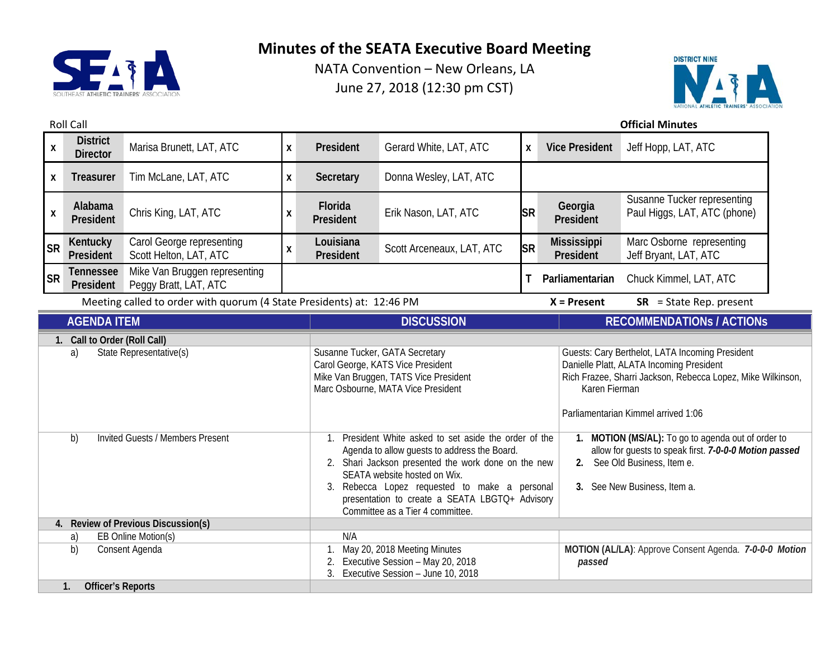



|                                                                                                                     | <b>Roll Call</b><br><b>Official Minutes</b> |                                                        |                                                                                                                                                    |                                                                                                                                                                                                                                                                                                                                   |                           |                                                                                                                                                                                                                    |                                                                                                                                                                           |                                                             |  |
|---------------------------------------------------------------------------------------------------------------------|---------------------------------------------|--------------------------------------------------------|----------------------------------------------------------------------------------------------------------------------------------------------------|-----------------------------------------------------------------------------------------------------------------------------------------------------------------------------------------------------------------------------------------------------------------------------------------------------------------------------------|---------------------------|--------------------------------------------------------------------------------------------------------------------------------------------------------------------------------------------------------------------|---------------------------------------------------------------------------------------------------------------------------------------------------------------------------|-------------------------------------------------------------|--|
| $\boldsymbol{\mathsf{x}}$                                                                                           | <b>District</b><br><b>Director</b>          | Marisa Brunett, LAT, ATC                               | X                                                                                                                                                  | President                                                                                                                                                                                                                                                                                                                         | Gerard White, LAT, ATC    | X                                                                                                                                                                                                                  | <b>Vice President</b>                                                                                                                                                     | Jeff Hopp, LAT, ATC                                         |  |
| X                                                                                                                   | <b>Treasurer</b>                            | Tim McLane, LAT, ATC                                   | X                                                                                                                                                  | Secretary                                                                                                                                                                                                                                                                                                                         | Donna Wesley, LAT, ATC    |                                                                                                                                                                                                                    |                                                                                                                                                                           |                                                             |  |
| $\boldsymbol{\mathsf{X}}$                                                                                           | Alabama<br>President                        | Chris King, LAT, ATC                                   | X                                                                                                                                                  | Florida<br>President                                                                                                                                                                                                                                                                                                              | Erik Nason, LAT, ATC      | <b>SR</b>                                                                                                                                                                                                          | Georgia<br>President                                                                                                                                                      | Susanne Tucker representing<br>Paul Higgs, LAT, ATC (phone) |  |
| <b>SR</b>                                                                                                           | Kentucky<br>President                       | Carol George representing<br>Scott Helton, LAT, ATC    | $\pmb{\mathsf{X}}$                                                                                                                                 | Louisiana<br>President                                                                                                                                                                                                                                                                                                            | Scott Arceneaux, LAT, ATC | <b>SR</b>                                                                                                                                                                                                          | <b>Mississippi</b><br>President                                                                                                                                           | Marc Osborne representing<br>Jeff Bryant, LAT, ATC          |  |
| <b>SR</b>                                                                                                           | <b>Tennessee</b><br>President               | Mike Van Bruggen representing<br>Peggy Bratt, LAT, ATC |                                                                                                                                                    |                                                                                                                                                                                                                                                                                                                                   |                           | т                                                                                                                                                                                                                  | Parliamentarian                                                                                                                                                           | Chuck Kimmel, LAT, ATC                                      |  |
| Meeting called to order with quorum (4 State Presidents) at: 12:46 PM<br>$X =$ Present<br>$SR = State Rep. present$ |                                             |                                                        |                                                                                                                                                    |                                                                                                                                                                                                                                                                                                                                   |                           |                                                                                                                                                                                                                    |                                                                                                                                                                           |                                                             |  |
| <b>AGENDA ITEM</b>                                                                                                  |                                             |                                                        |                                                                                                                                                    | <b>DISCUSSION</b>                                                                                                                                                                                                                                                                                                                 |                           |                                                                                                                                                                                                                    | <b>RECOMMENDATIONS / ACTIONS</b>                                                                                                                                          |                                                             |  |
| Call to Order (Roll Call)<br>$1_{\cdot}$                                                                            |                                             |                                                        |                                                                                                                                                    |                                                                                                                                                                                                                                                                                                                                   |                           |                                                                                                                                                                                                                    |                                                                                                                                                                           |                                                             |  |
| State Representative(s)<br>a)                                                                                       |                                             |                                                        | Susanne Tucker, GATA Secretary<br>Carol George, KATS Vice President<br>Mike Van Bruggen, TATS Vice President<br>Marc Osbourne, MATA Vice President |                                                                                                                                                                                                                                                                                                                                   |                           | Guests: Cary Berthelot, LATA Incoming President<br>Danielle Platt, ALATA Incoming President<br>Rich Frazee, Sharri Jackson, Rebecca Lopez, Mike Wilkinson,<br>Karen Fierman<br>Parliamentarian Kimmel arrived 1:06 |                                                                                                                                                                           |                                                             |  |
| <b>Invited Guests / Members Present</b><br>b)                                                                       |                                             |                                                        |                                                                                                                                                    | 1. President White asked to set aside the order of the<br>Agenda to allow guests to address the Board.<br>2. Shari Jackson presented the work done on the new<br>SEATA website hosted on Wix.<br>Rebecca Lopez requested to make a personal<br>presentation to create a SEATA LBGTQ+ Advisory<br>Committee as a Tier 4 committee. |                           | 2.                                                                                                                                                                                                                 | 1. MOTION (MS/AL): To go to agenda out of order to<br>allow for guests to speak first. 7-0-0-0 Motion passed<br>See Old Business, Item e.<br>3. See New Business, Item a. |                                                             |  |
| 4. Review of Previous Discussion(s)                                                                                 |                                             |                                                        |                                                                                                                                                    |                                                                                                                                                                                                                                                                                                                                   |                           |                                                                                                                                                                                                                    |                                                                                                                                                                           |                                                             |  |
| EB Online Motion(s)<br>a)                                                                                           |                                             |                                                        | N/A                                                                                                                                                |                                                                                                                                                                                                                                                                                                                                   |                           |                                                                                                                                                                                                                    |                                                                                                                                                                           |                                                             |  |
| b)<br>Consent Agenda                                                                                                |                                             |                                                        | May 20, 2018 Meeting Minutes<br>Executive Session - May 20, 2018<br>Executive Session - June 10, 2018<br>3.                                        |                                                                                                                                                                                                                                                                                                                                   | passed                    | MOTION (AL/LA): Approve Consent Agenda. 7-0-0-0 Motion                                                                                                                                                             |                                                                                                                                                                           |                                                             |  |
| <b>Officer's Reports</b><br>1.                                                                                      |                                             |                                                        |                                                                                                                                                    |                                                                                                                                                                                                                                                                                                                                   |                           |                                                                                                                                                                                                                    |                                                                                                                                                                           |                                                             |  |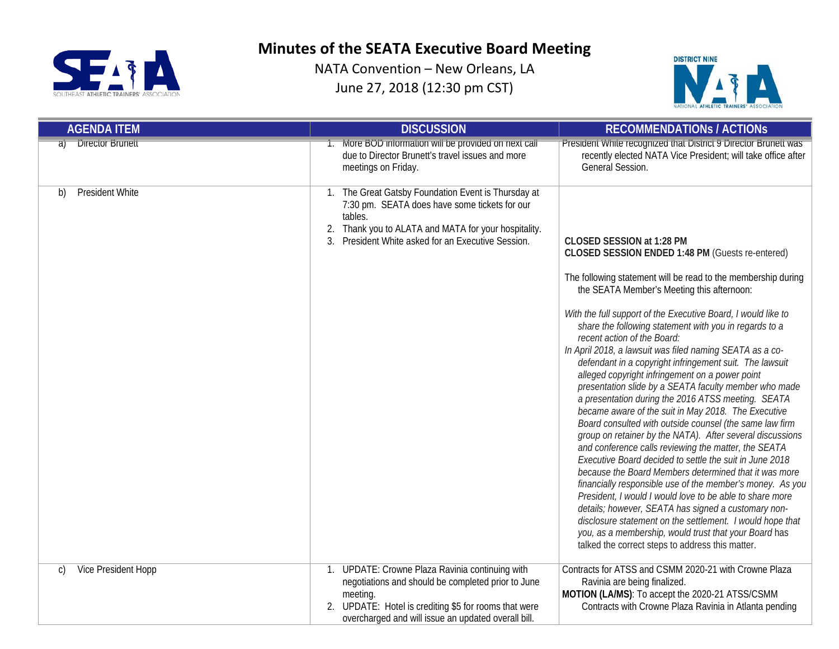



| <b>AGENDA ITEM</b>            | <b>DISCUSSION</b>                                                                                                                                                                                                              | <b>RECOMMENDATIONS / ACTIONS</b>                                                                                                                                                                                                                                                                                                                                                                                                                                                                                                                                                                                                                                                                                                                                                                                                                                                                                                                                                                                                                                                                                                                                                                                                                                                                                                                                     |
|-------------------------------|--------------------------------------------------------------------------------------------------------------------------------------------------------------------------------------------------------------------------------|----------------------------------------------------------------------------------------------------------------------------------------------------------------------------------------------------------------------------------------------------------------------------------------------------------------------------------------------------------------------------------------------------------------------------------------------------------------------------------------------------------------------------------------------------------------------------------------------------------------------------------------------------------------------------------------------------------------------------------------------------------------------------------------------------------------------------------------------------------------------------------------------------------------------------------------------------------------------------------------------------------------------------------------------------------------------------------------------------------------------------------------------------------------------------------------------------------------------------------------------------------------------------------------------------------------------------------------------------------------------|
| <b>Director Brunett</b><br>तो | 1. More BOD information will be provided on next call<br>due to Director Brunett's travel issues and more<br>meetings on Friday.                                                                                               | President White recognized that District 9 Director Brunett was<br>recently elected NATA Vice President; will take office after<br>General Session.                                                                                                                                                                                                                                                                                                                                                                                                                                                                                                                                                                                                                                                                                                                                                                                                                                                                                                                                                                                                                                                                                                                                                                                                                  |
| <b>President White</b><br>b)  | 1. The Great Gatsby Foundation Event is Thursday at<br>7:30 pm. SEATA does have some tickets for our<br>tables.<br>2. Thank you to ALATA and MATA for your hospitality.<br>3. President White asked for an Executive Session.  | CLOSED SESSION at 1:28 PM<br>CLOSED SESSION ENDED 1:48 PM (Guests re-entered)<br>The following statement will be read to the membership during<br>the SEATA Member's Meeting this afternoon:<br>With the full support of the Executive Board, I would like to<br>share the following statement with you in regards to a<br>recent action of the Board:<br>In April 2018, a lawsuit was filed naming SEATA as a co-<br>defendant in a copyright infringement suit. The lawsuit<br>alleged copyright infringement on a power point<br>presentation slide by a SEATA faculty member who made<br>a presentation during the 2016 ATSS meeting. SEATA<br>became aware of the suit in May 2018. The Executive<br>Board consulted with outside counsel (the same law firm<br>group on retainer by the NATA). After several discussions<br>and conference calls reviewing the matter, the SEATA<br>Executive Board decided to settle the suit in June 2018<br>because the Board Members determined that it was more<br>financially responsible use of the member's money. As you<br>President, I would I would love to be able to share more<br>details; however, SEATA has signed a customary non-<br>disclosure statement on the settlement. I would hope that<br>you, as a membership, would trust that your Board has<br>talked the correct steps to address this matter. |
| Vice President Hopp<br>C)     | UPDATE: Crowne Plaza Ravinia continuing with<br>negotiations and should be completed prior to June<br>meeting.<br>2. UPDATE: Hotel is crediting \$5 for rooms that were<br>overcharged and will issue an updated overall bill. | Contracts for ATSS and CSMM 2020-21 with Crowne Plaza<br>Ravinia are being finalized.<br>MOTION (LA/MS): To accept the 2020-21 ATSS/CSMM<br>Contracts with Crowne Plaza Ravinia in Atlanta pending                                                                                                                                                                                                                                                                                                                                                                                                                                                                                                                                                                                                                                                                                                                                                                                                                                                                                                                                                                                                                                                                                                                                                                   |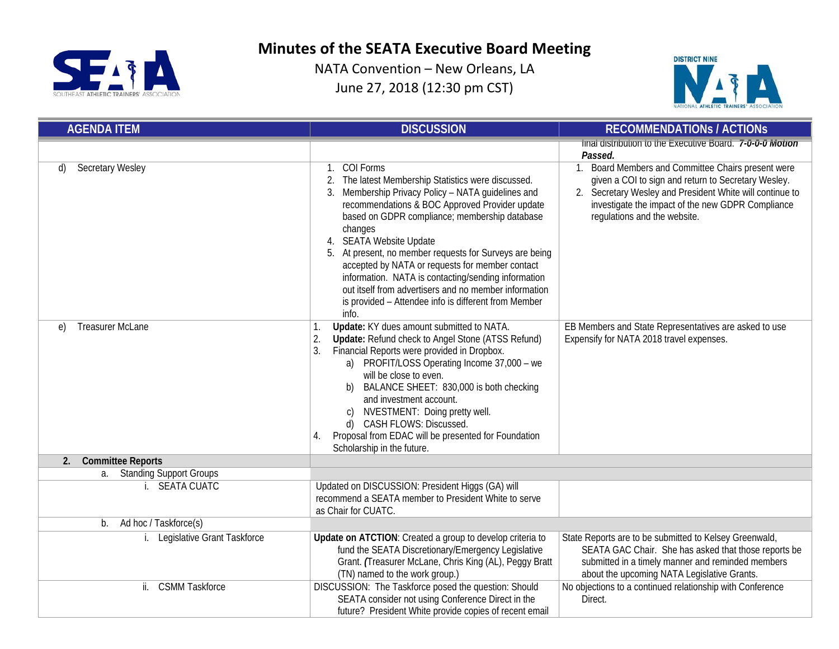



| <b>AGENDA ITEM</b>             | <b>DISCUSSION</b>                                                                                                                                                                                                                                                                                                                                                                                                                                                                                                                                                 | <b>RECOMMENDATIONS / ACTIONS</b>                                                                                                                                                                                                                           |  |
|--------------------------------|-------------------------------------------------------------------------------------------------------------------------------------------------------------------------------------------------------------------------------------------------------------------------------------------------------------------------------------------------------------------------------------------------------------------------------------------------------------------------------------------------------------------------------------------------------------------|------------------------------------------------------------------------------------------------------------------------------------------------------------------------------------------------------------------------------------------------------------|--|
|                                |                                                                                                                                                                                                                                                                                                                                                                                                                                                                                                                                                                   | final distribution to the Executive Board. 7-0-0-0 Motion<br>Passed.                                                                                                                                                                                       |  |
| <b>Secretary Wesley</b><br>d)  | COI Forms<br>The latest Membership Statistics were discussed.<br>2.<br>3. Membership Privacy Policy - NATA guidelines and<br>recommendations & BOC Approved Provider update<br>based on GDPR compliance; membership database<br>changes<br>4. SEATA Website Update<br>5. At present, no member requests for Surveys are being<br>accepted by NATA or requests for member contact<br>information. NATA is contacting/sending information<br>out itself from advertisers and no member information<br>is provided - Attendee info is different from Member<br>info. | 1. Board Members and Committee Chairs present were<br>given a COI to sign and return to Secretary Wesley.<br>2. Secretary Wesley and President White will continue to<br>investigate the impact of the new GDPR Compliance<br>regulations and the website. |  |
| <b>Treasurer McLane</b><br>e)  | Update: KY dues amount submitted to NATA.<br>1.<br>Update: Refund check to Angel Stone (ATSS Refund)<br>2.<br>Financial Reports were provided in Dropbox.<br>3.<br>a) PROFIT/LOSS Operating Income 37,000 - we<br>will be close to even.<br>BALANCE SHEET: 830,000 is both checking<br>b)<br>and investment account.<br>NVESTMENT: Doing pretty well.<br>CASH FLOWS: Discussed.<br>d)<br>Proposal from EDAC will be presented for Foundation<br>4.<br>Scholarship in the future.                                                                                  | EB Members and State Representatives are asked to use<br>Expensify for NATA 2018 travel expenses.                                                                                                                                                          |  |
| <b>Committee Reports</b><br>2. |                                                                                                                                                                                                                                                                                                                                                                                                                                                                                                                                                                   |                                                                                                                                                                                                                                                            |  |
| a. Standing Support Groups     |                                                                                                                                                                                                                                                                                                                                                                                                                                                                                                                                                                   |                                                                                                                                                                                                                                                            |  |
| i. SEATA CUATC                 | Updated on DISCUSSION: President Higgs (GA) will<br>recommend a SEATA member to President White to serve<br>as Chair for CUATC.                                                                                                                                                                                                                                                                                                                                                                                                                                   |                                                                                                                                                                                                                                                            |  |
| Ad hoc / Taskforce(s)<br>b.    |                                                                                                                                                                                                                                                                                                                                                                                                                                                                                                                                                                   |                                                                                                                                                                                                                                                            |  |
| Legislative Grant Taskforce    | Update on ATCTION: Created a group to develop criteria to<br>fund the SEATA Discretionary/Emergency Legislative<br>Grant. (Treasurer McLane, Chris King (AL), Peggy Bratt<br>(TN) named to the work group.)                                                                                                                                                                                                                                                                                                                                                       | State Reports are to be submitted to Kelsey Greenwald,<br>SEATA GAC Chair. She has asked that those reports be<br>submitted in a timely manner and reminded members<br>about the upcoming NATA Legislative Grants.                                         |  |
| <b>CSMM Taskforce</b><br>ii.   | DISCUSSION: The Taskforce posed the question: Should<br>SEATA consider not using Conference Direct in the<br>future? President White provide copies of recent email                                                                                                                                                                                                                                                                                                                                                                                               | No objections to a continued relationship with Conference<br>Direct.                                                                                                                                                                                       |  |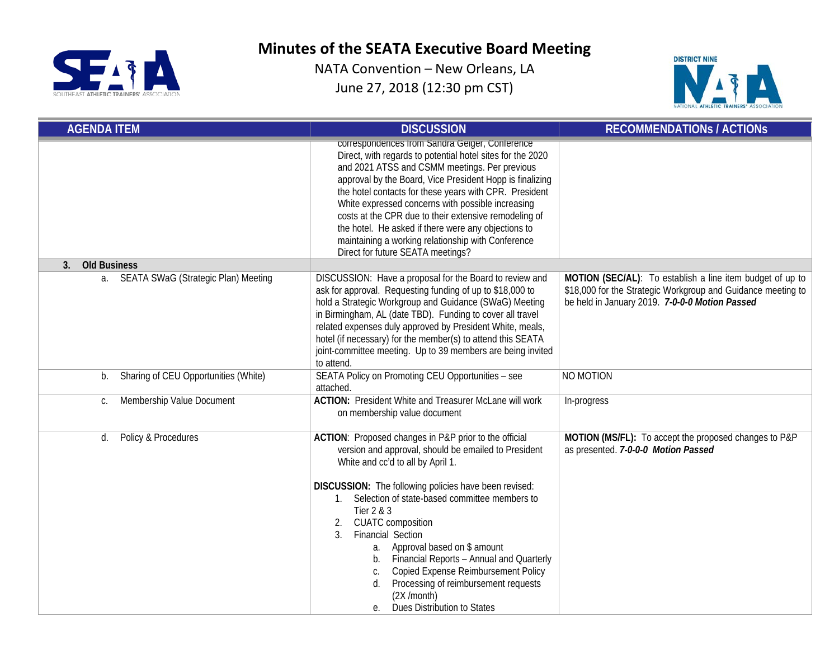



| <b>AGENDA ITEM</b>                         | <b>DISCUSSION</b>                                                                                                                                                                                                                                                                                                                                                                                                                                                                                                                                                                                  | <b>RECOMMENDATIONS / ACTIONS</b>                                                                                                                                            |  |
|--------------------------------------------|----------------------------------------------------------------------------------------------------------------------------------------------------------------------------------------------------------------------------------------------------------------------------------------------------------------------------------------------------------------------------------------------------------------------------------------------------------------------------------------------------------------------------------------------------------------------------------------------------|-----------------------------------------------------------------------------------------------------------------------------------------------------------------------------|--|
|                                            | correspondences from Sandra Geiger, Conference<br>Direct, with regards to potential hotel sites for the 2020<br>and 2021 ATSS and CSMM meetings. Per previous<br>approval by the Board, Vice President Hopp is finalizing<br>the hotel contacts for these years with CPR. President<br>White expressed concerns with possible increasing<br>costs at the CPR due to their extensive remodeling of<br>the hotel. He asked if there were any objections to<br>maintaining a working relationship with Conference<br>Direct for future SEATA meetings?                                                |                                                                                                                                                                             |  |
| <b>Old Business</b><br>3.                  |                                                                                                                                                                                                                                                                                                                                                                                                                                                                                                                                                                                                    |                                                                                                                                                                             |  |
| SEATA SWaG (Strategic Plan) Meeting<br>а.  | DISCUSSION: Have a proposal for the Board to review and<br>ask for approval. Requesting funding of up to \$18,000 to<br>hold a Strategic Workgroup and Guidance (SWaG) Meeting<br>in Birmingham, AL (date TBD). Funding to cover all travel<br>related expenses duly approved by President White, meals,<br>hotel (if necessary) for the member(s) to attend this SEATA<br>joint-committee meeting. Up to 39 members are being invited<br>to attend.                                                                                                                                               | MOTION (SEC/AL): To establish a line item budget of up to<br>\$18,000 for the Strategic Workgroup and Guidance meeting to<br>be held in January 2019. 7-0-0-0 Motion Passed |  |
| Sharing of CEU Opportunities (White)<br>b. | SEATA Policy on Promoting CEU Opportunities - see<br>attached.                                                                                                                                                                                                                                                                                                                                                                                                                                                                                                                                     | NO MOTION                                                                                                                                                                   |  |
| Membership Value Document<br>С.            | <b>ACTION: President White and Treasurer McLane will work</b><br>on membership value document                                                                                                                                                                                                                                                                                                                                                                                                                                                                                                      | In-progress                                                                                                                                                                 |  |
| Policy & Procedures<br>d.                  | ACTION: Proposed changes in P&P prior to the official<br>version and approval, should be emailed to President<br>White and cc'd to all by April 1.<br>DISCUSSION: The following policies have been revised:<br>1. Selection of state-based committee members to<br>Tier 2 & 3<br><b>CUATC</b> composition<br>2.<br>Financial Section<br>$\mathcal{E}$<br>a. Approval based on \$ amount<br>Financial Reports - Annual and Quarterly<br>b.<br>Copied Expense Reimbursement Policy<br>C.<br>Processing of reimbursement requests<br>d.<br>$(2X / \text{month})$<br>Dues Distribution to States<br>е. | MOTION (MS/FL): To accept the proposed changes to P&P<br>as presented. 7-0-0-0 Motion Passed                                                                                |  |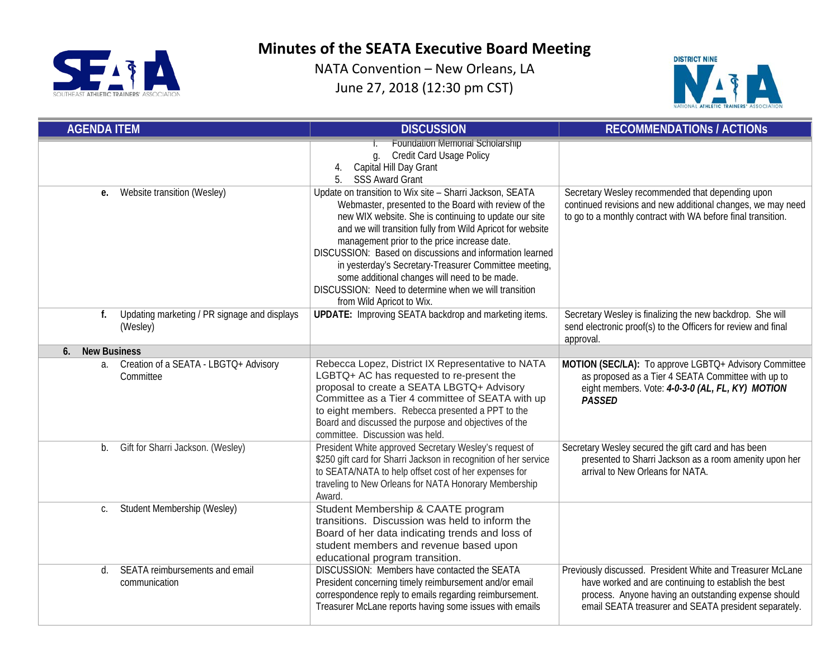



| <b>AGENDA ITEM</b>                                             | <b>DISCUSSION</b>                                                                                                                                                                                                                                                                                                                                                                                                                                                                                                                                   | <b>RECOMMENDATIONS / ACTIONS</b>                                                                                                                                                                                                    |  |
|----------------------------------------------------------------|-----------------------------------------------------------------------------------------------------------------------------------------------------------------------------------------------------------------------------------------------------------------------------------------------------------------------------------------------------------------------------------------------------------------------------------------------------------------------------------------------------------------------------------------------------|-------------------------------------------------------------------------------------------------------------------------------------------------------------------------------------------------------------------------------------|--|
|                                                                | <b>Foundation Memorial Scholarship</b><br><b>Credit Card Usage Policy</b><br>g.<br>Capital Hill Day Grant<br>4.<br>5.<br><b>SSS Award Grant</b>                                                                                                                                                                                                                                                                                                                                                                                                     |                                                                                                                                                                                                                                     |  |
| Website transition (Wesley)<br>е.                              | Update on transition to Wix site - Sharri Jackson, SEATA<br>Webmaster, presented to the Board with review of the<br>new WIX website. She is continuing to update our site<br>and we will transition fully from Wild Apricot for website<br>management prior to the price increase date.<br>DISCUSSION: Based on discussions and information learned<br>in yesterday's Secretary-Treasurer Committee meeting,<br>some additional changes will need to be made.<br>DISCUSSION: Need to determine when we will transition<br>from Wild Apricot to Wix. | Secretary Wesley recommended that depending upon<br>continued revisions and new additional changes, we may need<br>to go to a monthly contract with WA before final transition.                                                     |  |
| Updating marketing / PR signage and displays<br>f.<br>(Wesley) | <b>UPDATE:</b> Improving SEATA backdrop and marketing items.                                                                                                                                                                                                                                                                                                                                                                                                                                                                                        | Secretary Wesley is finalizing the new backdrop. She will<br>send electronic proof(s) to the Officers for review and final<br>approval.                                                                                             |  |
| <b>New Business</b><br>6.                                      |                                                                                                                                                                                                                                                                                                                                                                                                                                                                                                                                                     |                                                                                                                                                                                                                                     |  |
| Creation of a SEATA - LBGTQ+ Advisory<br>a.<br>Committee       | Rebecca Lopez, District IX Representative to NATA<br>LGBTQ+ AC has requested to re-present the<br>proposal to create a SEATA LBGTQ+ Advisory<br>Committee as a Tier 4 committee of SEATA with up<br>to eight members. Rebecca presented a PPT to the<br>Board and discussed the purpose and objectives of the<br>committee. Discussion was held.                                                                                                                                                                                                    | MOTION (SEC/LA): To approve LGBTQ+ Advisory Committee<br>as proposed as a Tier 4 SEATA Committee with up to<br>eight members. Vote: 4-0-3-0 (AL, FL, KY) MOTION<br><b>PASSED</b>                                                    |  |
| Gift for Sharri Jackson. (Wesley)<br>b.                        | President White approved Secretary Wesley's request of<br>\$250 gift card for Sharri Jackson in recognition of her service<br>to SEATA/NATA to help offset cost of her expenses for<br>traveling to New Orleans for NATA Honorary Membership<br>Award.                                                                                                                                                                                                                                                                                              | Secretary Wesley secured the gift card and has been<br>presented to Sharri Jackson as a room amenity upon her<br>arrival to New Orleans for NATA.                                                                                   |  |
| Student Membership (Wesley)<br>C.                              | Student Membership & CAATE program<br>transitions. Discussion was held to inform the<br>Board of her data indicating trends and loss of<br>student members and revenue based upon<br>educational program transition.                                                                                                                                                                                                                                                                                                                                |                                                                                                                                                                                                                                     |  |
| SEATA reimbursements and email<br>d.<br>communication          | DISCUSSION: Members have contacted the SEATA<br>President concerning timely reimbursement and/or email<br>correspondence reply to emails regarding reimbursement.<br>Treasurer McLane reports having some issues with emails                                                                                                                                                                                                                                                                                                                        | Previously discussed. President White and Treasurer McLane<br>have worked and are continuing to establish the best<br>process. Anyone having an outstanding expense should<br>email SEATA treasurer and SEATA president separately. |  |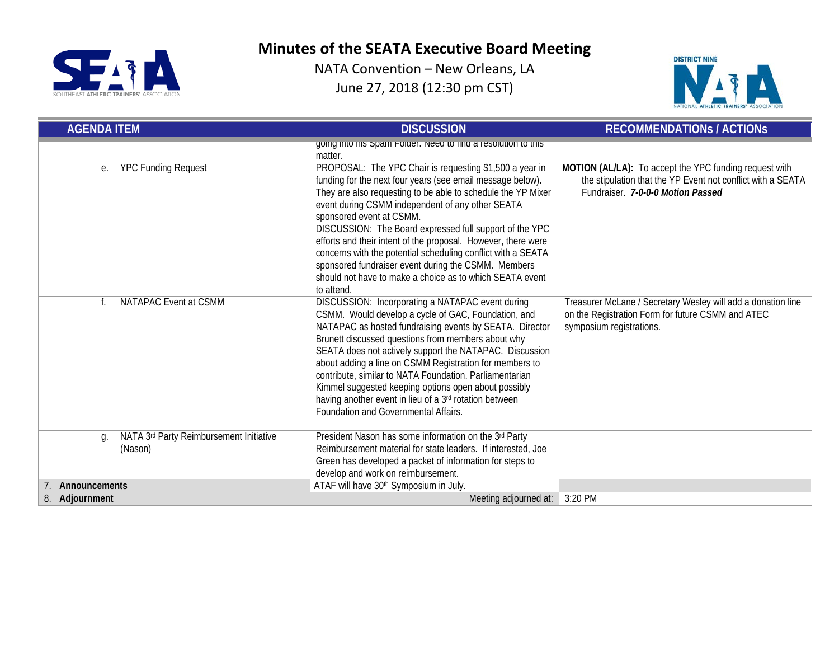



| <b>AGENDA ITEM</b>                                       | <b>DISCUSSION</b>                                                                                                                                                                                                                                                                                                                                                                                                                                                                                                                                                                                  | <b>RECOMMENDATIONS / ACTIONS</b>                                                                                                                           |  |
|----------------------------------------------------------|----------------------------------------------------------------------------------------------------------------------------------------------------------------------------------------------------------------------------------------------------------------------------------------------------------------------------------------------------------------------------------------------------------------------------------------------------------------------------------------------------------------------------------------------------------------------------------------------------|------------------------------------------------------------------------------------------------------------------------------------------------------------|--|
|                                                          | going into his Spam Folder. Need to find a resolution to this<br>matter.                                                                                                                                                                                                                                                                                                                                                                                                                                                                                                                           |                                                                                                                                                            |  |
| <b>YPC Funding Request</b><br>е.                         | PROPOSAL: The YPC Chair is requesting \$1,500 a year in<br>funding for the next four years (see email message below).<br>They are also requesting to be able to schedule the YP Mixer<br>event during CSMM independent of any other SEATA<br>sponsored event at CSMM.<br>DISCUSSION: The Board expressed full support of the YPC<br>efforts and their intent of the proposal. However, there were<br>concerns with the potential scheduling conflict with a SEATA<br>sponsored fundraiser event during the CSMM. Members<br>should not have to make a choice as to which SEATA event<br>to attend. | MOTION (AL/LA): To accept the YPC funding request with<br>the stipulation that the YP Event not conflict with a SEATA<br>Fundraiser. 7-0-0-0 Motion Passed |  |
| NATAPAC Event at CSMM                                    | DISCUSSION: Incorporating a NATAPAC event during<br>CSMM. Would develop a cycle of GAC, Foundation, and<br>NATAPAC as hosted fundraising events by SEATA. Director<br>Brunett discussed questions from members about why<br>SEATA does not actively support the NATAPAC. Discussion<br>about adding a line on CSMM Registration for members to<br>contribute, similar to NATA Foundation. Parliamentarian<br>Kimmel suggested keeping options open about possibly<br>having another event in lieu of a 3rd rotation between<br>Foundation and Governmental Affairs.                                | Treasurer McLane / Secretary Wesley will add a donation line<br>on the Registration Form for future CSMM and ATEC<br>symposium registrations.              |  |
| NATA 3rd Party Reimbursement Initiative<br>g.<br>(Nason) | President Nason has some information on the 3rd Party<br>Reimbursement material for state leaders. If interested, Joe<br>Green has developed a packet of information for steps to<br>develop and work on reimbursement.                                                                                                                                                                                                                                                                                                                                                                            |                                                                                                                                                            |  |
| Announcements                                            | ATAF will have 30 <sup>th</sup> Symposium in July.                                                                                                                                                                                                                                                                                                                                                                                                                                                                                                                                                 |                                                                                                                                                            |  |
| 8. Adjournment                                           | Meeting adjourned at:                                                                                                                                                                                                                                                                                                                                                                                                                                                                                                                                                                              | 3:20 PM                                                                                                                                                    |  |